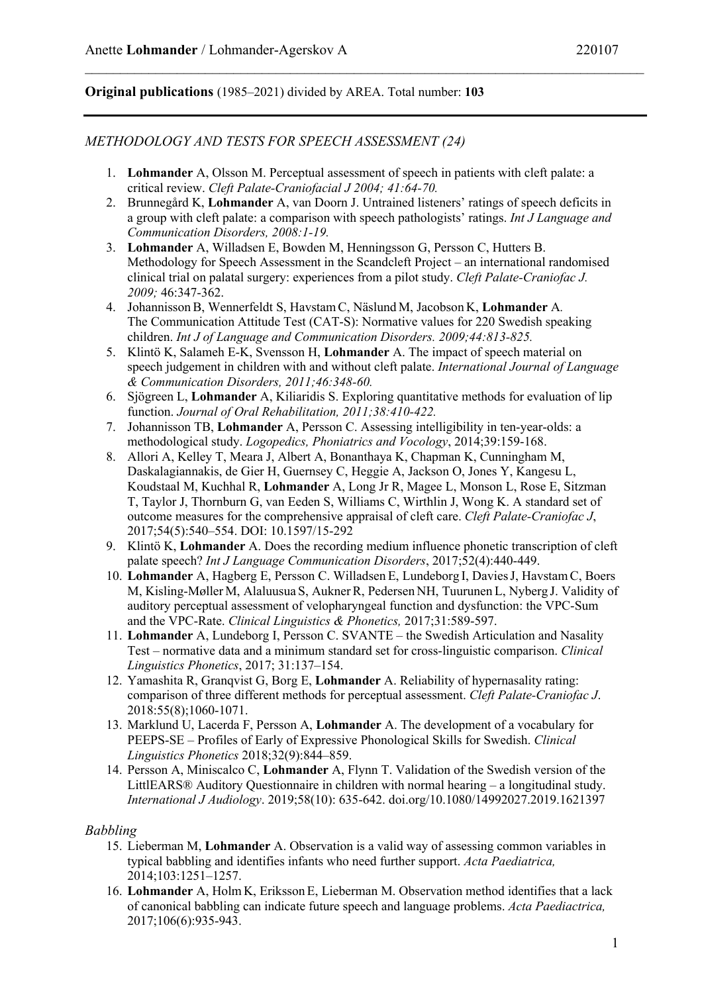# **Original publications** (1985–2021) divided by AREA. Total number: **103**

# *METHODOLOGY AND TESTS FOR SPEECH ASSESSMENT (24)*

- 1. **Lohmander** A, Olsson M. Perceptual assessment of speech in patients with cleft palate: a critical review. *Cleft Palate-Craniofacial J 2004; 41:64-70.*
- 2. Brunnegård K, **Lohmander** A, van Doorn J. Untrained listeners' ratings of speech deficits in a group with cleft palate: a comparison with speech pathologists' ratings. *Int J Language and Communication Disorders, 2008:1-19.*
- 3. **Lohmander** A, Willadsen E, Bowden M, Henningsson G, Persson C, Hutters B. Methodology for Speech Assessment in the Scandcleft Project – an international randomised clinical trial on palatal surgery: experiences from a pilot study. *Cleft Palate-Craniofac J. 2009;* 46:347-362.
- 4. JohannissonB, Wennerfeldt S, Havstam C, Näslund M, Jacobson K, **Lohmander** A*.* The Communication Attitude Test (CAT-S): Normative values for 220 Swedish speaking children. *Int J of Language and Communication Disorders. 2009;44:813-825.*
- 5. Klintö K, Salameh E-K, Svensson H, **Lohmander** A. The impact of speech material on speech judgement in children with and without cleft palate. *International Journal of Language & Communication Disorders, 2011;46:348-60.*
- 6. Sjögreen L, **Lohmander** A, Kiliaridis S. Exploring quantitative methods for evaluation of lip function. *Journal of Oral Rehabilitation, 2011;38:410-422.*
- 7. Johannisson TB, **Lohmander** A, Persson C. Assessing intelligibility in ten-year-olds: a methodological study. *Logopedics, Phoniatrics and Vocology*, 2014;39:159-168.
- 8. Allori A, Kelley T, Meara J, Albert A, Bonanthaya K, Chapman K, Cunningham M, Daskalagiannakis, de Gier H, Guernsey C, Heggie A, Jackson O, Jones Y, Kangesu L, Koudstaal M, Kuchhal R, **Lohmander** A, Long Jr R, Magee L, Monson L, Rose E, Sitzman T, Taylor J, Thornburn G, van Eeden S, Williams C, Wirthlin J, Wong K. A standard set of outcome measures for the comprehensive appraisal of cleft care. *Cleft Palate-Craniofac J*, 2017;54(5):540–554. DOI: 10.1597/15-292
- 9. Klintö K, **Lohmander** A. Does the recording medium influence phonetic transcription of cleft palate speech? *Int J Language Communication Disorders*, 2017;52(4):440-449.
- 10. **Lohmander** A, Hagberg E, Persson C. Willadsen E, Lundeborg I, DaviesJ, Havstam C, Boers M, Kisling-Møller M, Alaluusua S, AuknerR, Pedersen NH, Tuurunen L, Nyberg J. Validity of auditory perceptual assessment of velopharyngeal function and dysfunction: the VPC-Sum and the VPC-Rate. *Clinical Linguistics & Phonetics,* 2017;31:589-597.
- 11. **Lohmander** A, Lundeborg I, Persson C. SVANTE the Swedish Articulation and Nasality Test – normative data and a minimum standard set for cross-linguistic comparison. *Clinical Linguistics Phonetics*, 2017; 31:137–154.
- 12. Yamashita R, Granqvist G, Borg E, **Lohmander** A. Reliability of hypernasality rating: comparison of three different methods for perceptual assessment. *Cleft Palate-Craniofac J*. 2018:55(8);1060-1071.
- 13. Marklund U, Lacerda F, Persson A, **Lohmander** A. The development of a vocabulary for PEEPS-SE – Profiles of Early of Expressive Phonological Skills for Swedish. *Clinical Linguistics Phonetics* 2018;32(9):844–859.
- 14. Persson A, Miniscalco C, **Lohmander** A, Flynn T. Validation of the Swedish version of the LittlEARS® Auditory Questionnaire in children with normal hearing – a longitudinal study. *International J Audiology*. 2019;58(10): 635-642. doi.org/10.1080/14992027.2019.1621397

## *Babbling*

- 15. Lieberman M, **Lohmander** A. Observation is a valid way of assessing common variables in typical babbling and identifies infants who need further support. *Acta Paediatrica,*  2014;103:1251–1257.
- 16. **Lohmander** A, HolmK, Eriksson E, Lieberman M. Observation method identifies that a lack of canonical babbling can indicate future speech and language problems. *Acta Paediactrica,* 2017;106(6):935-943.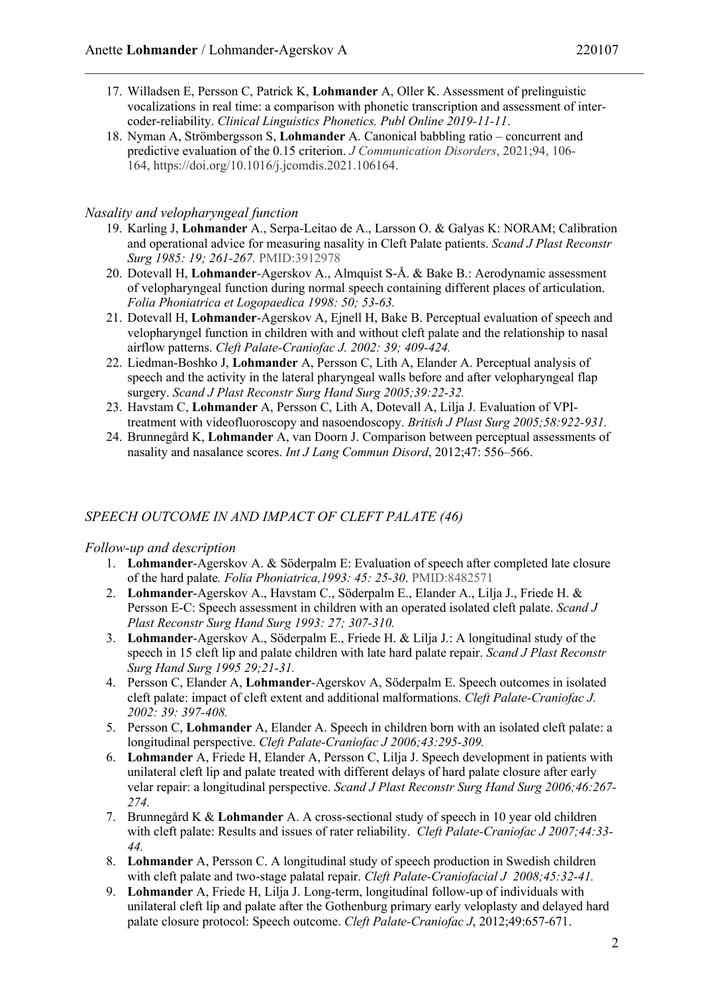- 17. Willadsen E, Persson C, Patrick K, **Lohmander** A, Oller K. Assessment of prelinguistic vocalizations in real time: a comparison with phonetic transcription and assessment of intercoder-reliability. *Clinical Linguistics Phonetics. Publ Online 2019-11-11*.
- 18. Nyman A, Strömbergsson S, **Lohmander** A. Canonical babbling ratio concurrent and predictive evaluation of the 0.15 criterion. *J Communication Disorders*, 2021;94, 106- 164, https://doi.org/10.1016/j.jcomdis.2021.106164.

## *Nasality and velopharyngeal function*

- 19. Karling J, **Lohmander** A., Serpa-Leitao de A., Larsson O. & Galyas K: NORAM; Calibration and operational advice for measuring nasality in Cleft Palate patients. *Scand J Plast Reconstr Surg 1985: 19; 261-267.* PMID:3912978
- 20. Dotevall H, **Lohmander**-Agerskov A., Almquist S-Å. & Bake B.: Aerodynamic assessment of velopharyngeal function during normal speech containing different places of articulation. *Folia Phoniatrica et Logopaedica 1998: 50; 53-63.*
- 21. Dotevall H, **Lohmander**-Agerskov A, Ejnell H, Bake B. Perceptual evaluation of speech and velopharyngel function in children with and without cleft palate and the relationship to nasal airflow patterns. *Cleft Palate-Craniofac J. 2002: 39; 409-424.*
- 22. Liedman-Boshko J, **Lohmander** A, Persson C, Lith A, Elander A. Perceptual analysis of speech and the activity in the lateral pharyngeal walls before and after velopharyngeal flap surgery. *Scand J Plast Reconstr Surg Hand Surg 2005;39:22-32.*
- 23. Havstam C, **Lohmander** A, Persson C, Lith A, Dotevall A, Lilja J. Evaluation of VPItreatment with videofluoroscopy and nasoendoscopy. *British J Plast Surg 2005;58:922-931.*
- 24. Brunnegård K, **Lohmander** A, van Doorn J. Comparison between perceptual assessments of nasality and nasalance scores. *Int J Lang Commun Disord*, 2012;47: 556–566.

## *SPEECH OUTCOME IN AND IMPACT OF CLEFT PALATE (46)*

#### *Follow-up and description*

- 1. **Lohmander**-Agerskov A. & Söderpalm E: Evaluation of speech after completed late closure of the hard palate*. Folia Phoniatrica,1993: 45: 25-30*. PMID:8482571
- 2. **Lohmander**-Agerskov A., Havstam C., Söderpalm E., Elander A., Lilja J., Friede H. & Persson E-C: Speech assessment in children with an operated isolated cleft palate. *Scand J Plast Reconstr Surg Hand Surg 1993: 27; 307-310.*
- 3. **Lohmander**-Agerskov A., Söderpalm E., Friede H. & Lilja J.: A longitudinal study of the speech in 15 cleft lip and palate children with late hard palate repair. *Scand J Plast Reconstr Surg Hand Surg 1995 29;21-31.*
- 4. Persson C, Elander A, **Lohmander**-Agerskov A, Söderpalm E. Speech outcomes in isolated cleft palate: impact of cleft extent and additional malformations. *Cleft Palate-Craniofac J. 2002: 39: 397-408.*
- 5. Persson C, **Lohmander** A, Elander A. Speech in children born with an isolated cleft palate: a longitudinal perspective. *Cleft Palate-Craniofac J 2006;43:295-309.*
- 6. **Lohmander** A, Friede H, Elander A, Persson C, Lilja J. Speech development in patients with unilateral cleft lip and palate treated with different delays of hard palate closure after early velar repair: a longitudinal perspective. *Scand J Plast Reconstr Surg Hand Surg 2006;46:267- 274.*
- 7. Brunnegård K & **Lohmander** A. A cross-sectional study of speech in 10 year old children with cleft palate: Results and issues of rater reliability. *Cleft Palate-Craniofac J 2007;44:33- 44.*
- 8. **Lohmander** A, Persson C. A longitudinal study of speech production in Swedish children with cleft palate and two-stage palatal repair. *Cleft Palate-Craniofacial J 2008;45:32-41.*
- 9. **Lohmander** A, Friede H, Lilja J. Long-term, longitudinal follow-up of individuals with unilateral cleft lip and palate after the Gothenburg primary early veloplasty and delayed hard palate closure protocol: Speech outcome. *Cleft Palate-Craniofac J*, 2012;49:657-671.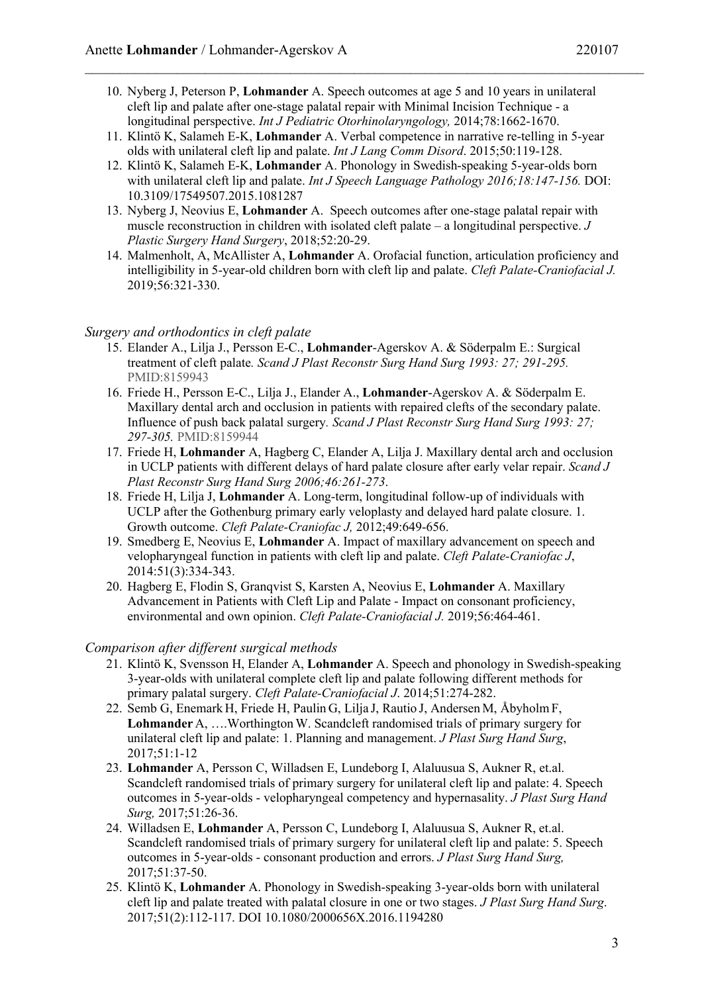- 10. Nyberg J, Peterson P, **Lohmander** A. Speech outcomes at age 5 and 10 years in unilateral cleft lip and palate after one-stage palatal repair with Minimal Incision Technique - a longitudinal perspective. *Int J Pediatric Otorhinolaryngology,* 2014;78:1662-1670.
- 11. Klintö K, Salameh E-K, **Lohmander** A. Verbal competence in narrative re-telling in 5-year olds with unilateral cleft lip and palate. *Int J Lang Comm Disord*. 2015;50:119-128.
- 12. Klintö K, Salameh E-K, **Lohmander** A. Phonology in Swedish-speaking 5-year-olds born with unilateral cleft lip and palate. *Int J Speech Language Pathology 2016;18:147-156.* DOI: 10.3109/17549507.2015.1081287
- 13. Nyberg J, Neovius E, **Lohmander** A. Speech outcomes after one-stage palatal repair with muscle reconstruction in children with isolated cleft palate – a longitudinal perspective. *J Plastic Surgery Hand Surgery*, 2018;52:20-29.
- 14. Malmenholt, A, McAllister A, **Lohmander** A. Orofacial function, articulation proficiency and intelligibility in 5-year-old children born with cleft lip and palate. *Cleft Palate-Craniofacial J.* 2019;56:321-330.

### *Surgery and orthodontics in cleft palate*

- 15. Elander A., Lilja J., Persson E-C., **Lohmander**-Agerskov A. & Söderpalm E.: Surgical treatment of cleft palate*. Scand J Plast Reconstr Surg Hand Surg 1993: 27; 291-295.* PMID:8159943
- 16. Friede H., Persson E-C., Lilja J., Elander A., **Lohmander**-Agerskov A. & Söderpalm E. Maxillary dental arch and occlusion in patients with repaired clefts of the secondary palate. Influence of push back palatal surgery*. Scand J Plast Reconstr Surg Hand Surg 1993: 27; 297-305.* PMID:8159944
- 17. Friede H, **Lohmander** A, Hagberg C, Elander A, Lilja J. Maxillary dental arch and occlusion in UCLP patients with different delays of hard palate closure after early velar repair. *Scand J Plast Reconstr Surg Hand Surg 2006;46:261-273*.
- 18. Friede H, Lilja J, **Lohmander** A. Long-term, longitudinal follow-up of individuals with UCLP after the Gothenburg primary early veloplasty and delayed hard palate closure. 1. Growth outcome. *Cleft Palate-Craniofac J,* 2012;49:649-656.
- 19. Smedberg E, Neovius E, **Lohmander** A. Impact of maxillary advancement on speech and velopharyngeal function in patients with cleft lip and palate. *Cleft Palate-Craniofac J*, 2014:51(3):334-343.
- 20. Hagberg E, Flodin S, Granqvist S, Karsten A, Neovius E, **Lohmander** A. Maxillary Advancement in Patients with Cleft Lip and Palate - Impact on consonant proficiency, environmental and own opinion. *Cleft Palate-Craniofacial J.* 2019;56:464-461.

#### *Comparison after different surgical methods*

- 21. Klintö K, Svensson H, Elander A, **Lohmander** A. Speech and phonology in Swedish-speaking 3-year-olds with unilateral complete cleft lip and palate following different methods for primary palatal surgery. *Cleft Palate-Craniofacial J*. 2014;51:274-282.
- 22. Semb G, Enemark H, Friede H, Paulin G, Lilja J, Rautio J, Andersen M, Åbyholm F, **Lohmander** A, ….WorthingtonW. Scandcleft randomised trials of primary surgery for unilateral cleft lip and palate: 1. Planning and management. *J Plast Surg Hand Surg*, 2017;51:1-12
- 23. **Lohmander** A, Persson C, Willadsen E, Lundeborg I, Alaluusua S, Aukner R, et.al. Scandcleft randomised trials of primary surgery for unilateral cleft lip and palate: 4. Speech outcomes in 5-year-olds - velopharyngeal competency and hypernasality. *J Plast Surg Hand Surg,* 2017;51:26-36.
- 24. Willadsen E, **Lohmander** A, Persson C, Lundeborg I, Alaluusua S, Aukner R, et.al. Scandcleft randomised trials of primary surgery for unilateral cleft lip and palate: 5. Speech outcomes in 5-year-olds - consonant production and errors. *J Plast Surg Hand Surg,* 2017;51:37-50.
- 25. Klintö K, **Lohmander** A. Phonology in Swedish-speaking 3-year-olds born with unilateral cleft lip and palate treated with palatal closure in one or two stages. *J Plast Surg Hand Surg*. 2017;51(2):112-117. DOI 10.1080/2000656X.2016.1194280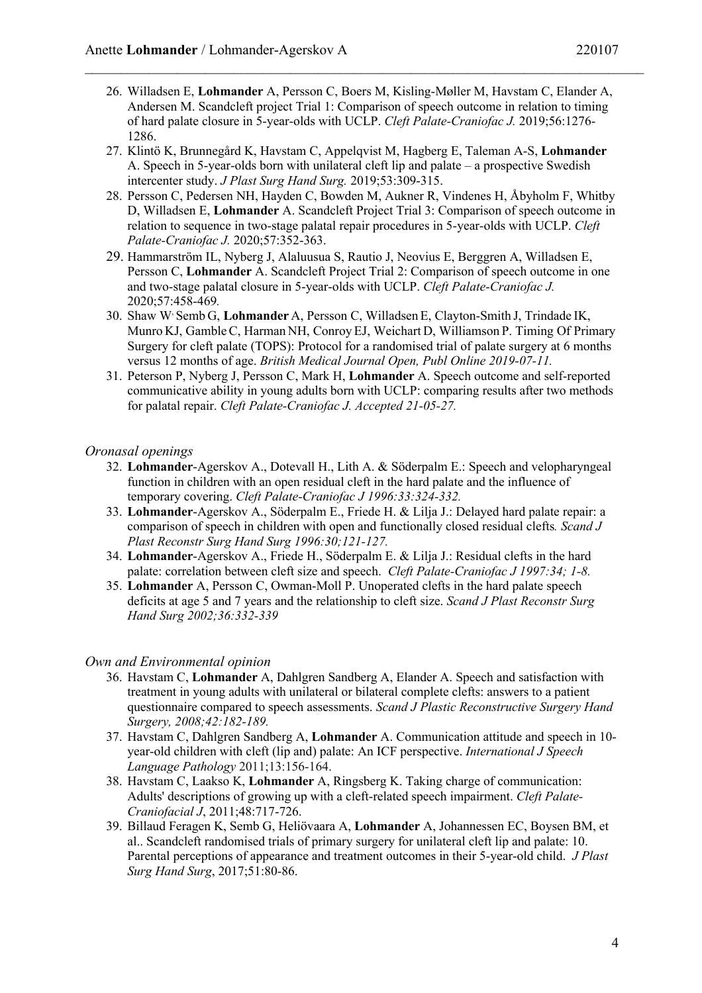- 26. Willadsen E, **Lohmander** A, Persson C, Boers M, Kisling-Møller M, Havstam C, Elander A, Andersen M. Scandcleft project Trial 1: Comparison of speech outcome in relation to timing of hard palate closure in 5-year-olds with UCLP. *Cleft Palate-Craniofac J.* 2019;56:1276- 1286.
- 27. Klintö K, Brunnegård K, Havstam C, Appelqvist M, Hagberg E, Taleman A-S, **Lohmander** A. Speech in 5-year-olds born with unilateral cleft lip and palate – a prospective Swedish intercenter study. *J Plast Surg Hand Surg.* 2019;53:309-315.
- 28. Persson C, Pedersen NH, Hayden C, Bowden M, Aukner R, Vindenes H, Åbyholm F, Whitby D, Willadsen E, **Lohmander** A. Scandcleft Project Trial 3: Comparison of speech outcome in relation to sequence in two-stage palatal repair procedures in 5-year-olds with UCLP. *Cleft Palate-Craniofac J.* 2020;57:352-363.
- 29. Hammarström IL, Nyberg J, Alaluusua S, Rautio J, Neovius E, Berggren A, Willadsen E, Persson C, **Lohmander** A. Scandcleft Project Trial 2: Comparison of speech outcome in one and two-stage palatal closure in 5-year-olds with UCLP. *Cleft Palate-Craniofac J.*  2020;57:458-469*.*
- 30. Shaw W, Semb G, **Lohmander** A, Persson C, WilladsenE, Clayton-Smith J, Trindade IK, Munro KJ, GambleC, Harman NH, Conroy EJ, Weichart D, Williamson P. Timing Of Primary Surgery for cleft palate (TOPS): Protocol for a randomised trial of palate surgery at 6 months versus 12 months of age. *British Medical Journal Open, Publ Online 2019-07-11.*
- 31. Peterson P, Nyberg J, Persson C, Mark H, **Lohmander** A. Speech outcome and self-reported communicative ability in young adults born with UCLP: comparing results after two methods for palatal repair. *Cleft Palate-Craniofac J. Accepted 21-05-27.*

### *Oronasal openings*

- 32. **Lohmander**-Agerskov A., Dotevall H., Lith A. & Söderpalm E.: Speech and velopharyngeal function in children with an open residual cleft in the hard palate and the influence of temporary covering. *Cleft Palate-Craniofac J 1996:33:324-332.*
- 33. **Lohmander**-Agerskov A., Söderpalm E., Friede H. & Lilja J.: Delayed hard palate repair: a comparison of speech in children with open and functionally closed residual clefts*. Scand J Plast Reconstr Surg Hand Surg 1996:30;121-127.*
- 34. **Lohmander**-Agerskov A., Friede H., Söderpalm E. & Lilja J.: Residual clefts in the hard palate: correlation between cleft size and speech. *Cleft Palate-Craniofac J 1997:34; 1-8.*
- 35. **Lohmander** A, Persson C, Owman-Moll P. Unoperated clefts in the hard palate speech deficits at age 5 and 7 years and the relationship to cleft size. *Scand J Plast Reconstr Surg Hand Surg 2002;36:332-339*

#### *Own and Environmental opinion*

- 36. Havstam C, **Lohmander** A, Dahlgren Sandberg A, Elander A. Speech and satisfaction with treatment in young adults with unilateral or bilateral complete clefts: answers to a patient questionnaire compared to speech assessments. *Scand J Plastic Reconstructive Surgery Hand Surgery, 2008;42:182-189.*
- 37. Havstam C, Dahlgren Sandberg A, **Lohmander** A. Communication attitude and speech in 10 year-old children with cleft (lip and) palate: An ICF perspective. *International J Speech Language Pathology* 2011;13:156-164.
- 38. Havstam C, Laakso K, **Lohmander** A, Ringsberg K. Taking charge of communication: Adults' descriptions of growing up with a cleft-related speech impairment. *Cleft Palate-Craniofacial J*, 2011;48:717-726.
- 39. Billaud Feragen K, Semb G, Heliövaara A, **Lohmander** A, Johannessen EC, Boysen BM, et al.. Scandcleft randomised trials of primary surgery for unilateral cleft lip and palate: 10. Parental perceptions of appearance and treatment outcomes in their 5-year-old child. *J Plast Surg Hand Surg*, 2017;51:80-86.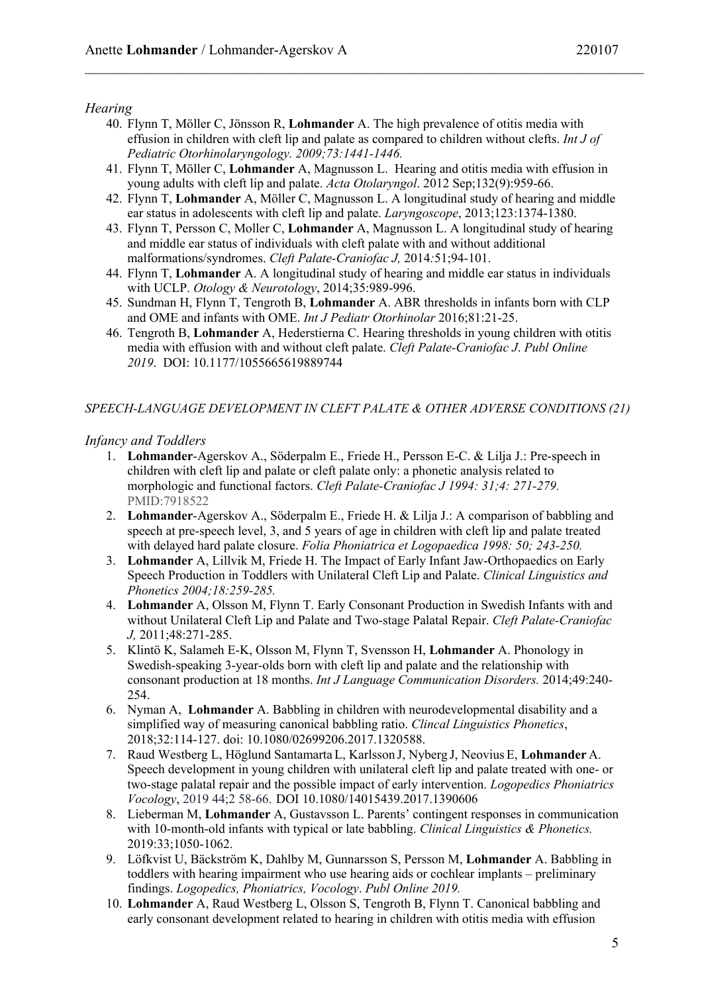#### *Hearing*

- 40. Flynn T, Möller C, Jönsson R, **Lohmander** A. The high prevalence of otitis media with effusion in children with cleft lip and palate as compared to children without clefts. *Int J of Pediatric Otorhinolaryngology. 2009;73:1441-1446.*
- 41. Flynn T, Möller C, **Lohmander** A, Magnusson L. Hearing and otitis media with effusion in young adults with cleft lip and palate. *Acta Otolaryngol*. 2012 Sep;132(9):959-66.
- 42. Flynn T, **Lohmander** A, Möller C, Magnusson L. A longitudinal study of hearing and middle ear status in adolescents with cleft lip and palate. *Laryngoscope*, 2013;123:1374-1380.
- 43. Flynn T, Persson C, Moller C, **Lohmander** A, Magnusson L. A longitudinal study of hearing and middle ear status of individuals with cleft palate with and without additional malformations/syndromes. *Cleft Palate-Craniofac J,* 2014*:*51;94-101.
- 44. Flynn T, **Lohmander** A. A longitudinal study of hearing and middle ear status in individuals with UCLP. *Otology & Neurotology*, 2014;35:989-996.
- 45. Sundman H, Flynn T, Tengroth B, **Lohmander** A. ABR thresholds in infants born with CLP and OME and infants with OME. *Int J Pediatr Otorhinolar* 2016;81:21-25.
- 46. Tengroth B, **Lohmander** A, Hederstierna C. Hearing thresholds in young children with otitis media with effusion with and without cleft palate. *Cleft Palate-Craniofac J*. *Publ Online 2019*. DOI: 10.1177/1055665619889744

#### *SPEECH-LANGUAGE DEVELOPMENT IN CLEFT PALATE & OTHER ADVERSE CONDITIONS (21)*

#### *Infancy and Toddlers*

- 1. **Lohmander**-Agerskov A., Söderpalm E., Friede H., Persson E-C. & Lilja J.: Pre-speech in children with cleft lip and palate or cleft palate only: a phonetic analysis related to morphologic and functional factors. *Cleft Palate-Craniofac J 1994: 31;4: 271-279.* PMID:7918522
- 2. **Lohmander**-Agerskov A., Söderpalm E., Friede H. & Lilja J.: A comparison of babbling and speech at pre-speech level, 3, and 5 years of age in children with cleft lip and palate treated with delayed hard palate closure. *Folia Phoniatrica et Logopaedica 1998: 50; 243-250.*
- 3. **Lohmander** A, Lillvik M, Friede H. The Impact of Early Infant Jaw-Orthopaedics on Early Speech Production in Toddlers with Unilateral Cleft Lip and Palate. *Clinical Linguistics and Phonetics 2004;18:259-285.*
- 4. **Lohmander** A, Olsson M, Flynn T. Early Consonant Production in Swedish Infants with and without Unilateral Cleft Lip and Palate and Two-stage Palatal Repair. *Cleft Palate-Craniofac J,* 2011;48:271-285.
- 5. Klintö K, Salameh E-K, Olsson M, Flynn T, Svensson H, **Lohmander** A. Phonology in Swedish-speaking 3-year-olds born with cleft lip and palate and the relationship with consonant production at 18 months. *Int J Language Communication Disorders.* 2014;49:240- 254.
- 6. Nyman A, **Lohmander** A. Babbling in children with neurodevelopmental disability and a simplified way of measuring canonical babbling ratio. *Clincal Linguistics Phonetics*, 2018;32:114-127. doi: 10.1080/02699206.2017.1320588.
- 7. Raud Westberg L, Höglund Santamarta L, Karlsson J, Nyberg J, Neovius E, **Lohmander** A. Speech development in young children with unilateral cleft lip and palate treated with one- or two-stage palatal repair and the possible impact of early intervention. *Logopedics Phoniatrics Vocology*, 2019 44;2 58-66. DOI 10.1080/14015439.2017.1390606
- 8. Lieberman M, **Lohmander** A, Gustavsson L. Parents' contingent responses in communication with 10-month-old infants with typical or late babbling. *Clinical Linguistics & Phonetics.* 2019:33;1050-1062.
- 9. Löfkvist U, Bäckström K, Dahlby M, Gunnarsson S, Persson M, **Lohmander** A. Babbling in toddlers with hearing impairment who use hearing aids or cochlear implants – preliminary findings. *Logopedics, Phoniatrics, Vocology*. *Publ Online 2019.*
- 10. **Lohmander** A, Raud Westberg L, Olsson S, Tengroth B, Flynn T. Canonical babbling and early consonant development related to hearing in children with otitis media with effusion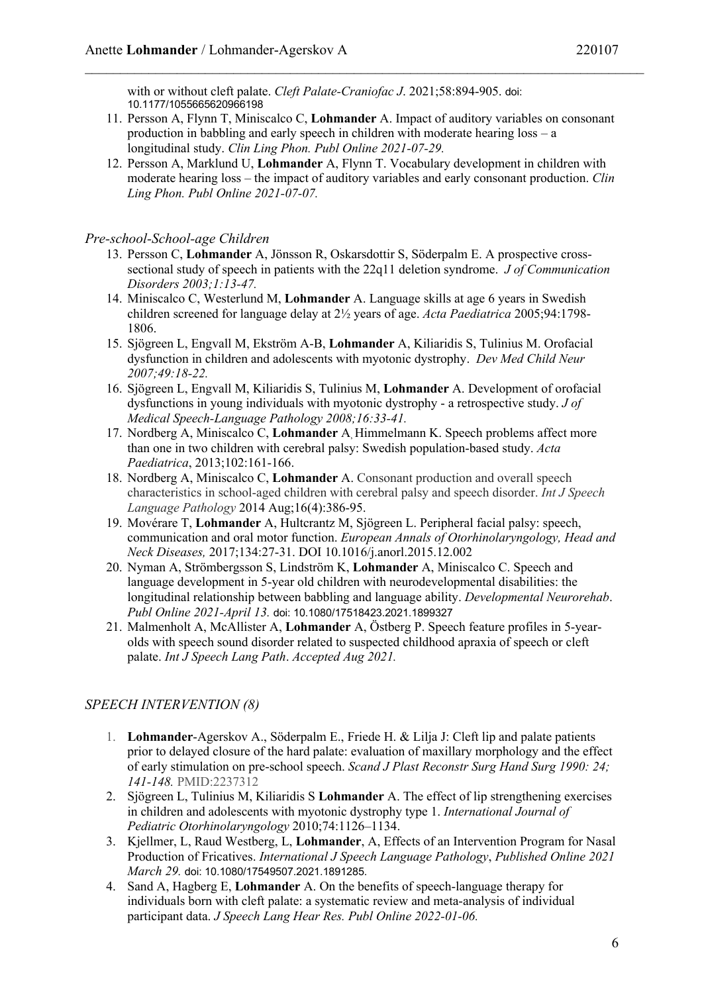with or without cleft palate. *Cleft Palate-Craniofac J*. 2021;58:894-905. doi: 10.1177/1055665620966198

- 11. Persson A, Flynn T, Miniscalco C, **Lohmander** A. Impact of auditory variables on consonant production in babbling and early speech in children with moderate hearing loss – a longitudinal study. *Clin Ling Phon. Publ Online 2021-07-29.*
- 12. Persson A, Marklund U, **Lohmander** A, Flynn T. Vocabulary development in children with moderate hearing loss – the impact of auditory variables and early consonant production. *Clin Ling Phon. Publ Online 2021-07-07.*

### *Pre-school-School-age Children*

- 13. Persson C, **Lohmander** A, Jönsson R, Oskarsdottir S, Söderpalm E. A prospective crosssectional study of speech in patients with the 22q11 deletion syndrome. *J of Communication Disorders 2003;1:13-47.*
- 14. Miniscalco C, Westerlund M, **Lohmander** A. Language skills at age 6 years in Swedish children screened for language delay at 2½ years of age. *Acta Paediatrica* 2005;94:1798- 1806.
- 15. Sjögreen L, Engvall M, Ekström A-B, **Lohmander** A, Kiliaridis S, Tulinius M. Orofacial dysfunction in children and adolescents with myotonic dystrophy. *Dev Med Child Neur 2007;49:18-22.*
- 16. Sjögreen L, Engvall M, Kiliaridis S, Tulinius M, **Lohmander** A. Development of orofacial dysfunctions in young individuals with myotonic dystrophy - a retrospective study. *J of Medical Speech-Language Pathology 2008;16:33-41.*
- 17. Nordberg A, Miniscalco C, **Lohmander** A, Himmelmann K. Speech problems affect more than one in two children with cerebral palsy: Swedish population-based study. *Acta Paediatrica*, 2013;102:161-166.
- 18. Nordberg A, Miniscalco C, **Lohmander** A. Consonant production and overall speech characteristics in school-aged children with cerebral palsy and speech disorder. *Int J Speech Language Pathology* 2014 Aug;16(4):386-95.
- 19. Movérare T, **Lohmander** A, Hultcrantz M, Sjögreen L. Peripheral facial palsy: speech, communication and oral motor function. *European Annals of Otorhinolaryngology, Head and Neck Diseases,* 2017;134:27-31. DOI 10.1016/j.anorl.2015.12.002
- 20. Nyman A, Strömbergsson S, Lindström K, **Lohmander** A, Miniscalco C. Speech and language development in 5-year old children with neurodevelopmental disabilities: the longitudinal relationship between babbling and language ability. *Developmental Neurorehab*. *Publ Online 2021-April 13.* doi: 10.1080/17518423.2021.1899327
- 21. Malmenholt A, McAllister A, **Lohmander** A, Östberg P. Speech feature profiles in 5-yearolds with speech sound disorder related to suspected childhood apraxia of speech or cleft palate. *Int J Speech Lang Path*. *Accepted Aug 2021.*

# *SPEECH INTERVENTION (8)*

- 1. **Lohmander**-Agerskov A., Söderpalm E., Friede H. & Lilja J: Cleft lip and palate patients prior to delayed closure of the hard palate: evaluation of maxillary morphology and the effect of early stimulation on pre-school speech. *Scand J Plast Reconstr Surg Hand Surg 1990: 24; 141-148.* PMID:2237312
- 2. Sjögreen L, Tulinius M, Kiliaridis S **Lohmander** A. The effect of lip strengthening exercises in children and adolescents with myotonic dystrophy type 1. *International Journal of Pediatric Otorhinolaryngology* 2010;74:1126–1134.
- 3. Kjellmer, L, Raud Westberg, L, **Lohmander**, A, Effects of an Intervention Program for Nasal Production of Fricatives. *International J Speech Language Pathology*, *Published Online 2021 March 29.* doi: 10.1080/17549507.2021.1891285.
- 4. Sand A, Hagberg E, **Lohmander** A. On the benefits of speech-language therapy for individuals born with cleft palate: a systematic review and meta-analysis of individual participant data. *J Speech Lang Hear Res. Publ Online 2022-01-06.*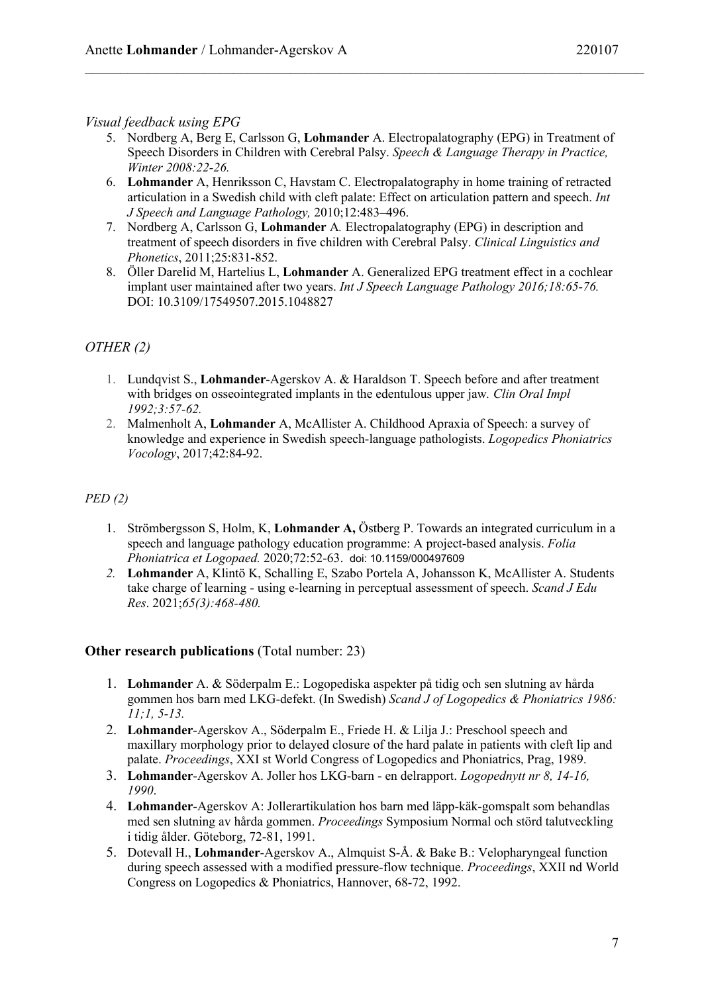# *Visual feedback using EPG*

- 5. Nordberg A, Berg E, Carlsson G, **Lohmander** A. Electropalatography (EPG) in Treatment of Speech Disorders in Children with Cerebral Palsy. *Speech & Language Therapy in Practice, Winter 2008:22-26.*
- 6. **Lohmander** A, Henriksson C, Havstam C. Electropalatography in home training of retracted articulation in a Swedish child with cleft palate: Effect on articulation pattern and speech. *Int J Speech and Language Pathology,* 2010;12:483–496.
- 7. Nordberg A, Carlsson G, **Lohmander** A*.* Electropalatography (EPG) in description and treatment of speech disorders in five children with Cerebral Palsy. *Clinical Linguistics and Phonetics*, 2011;25:831-852.
- 8. Öller Darelid M, Hartelius L, **Lohmander** A. Generalized EPG treatment effect in a cochlear implant user maintained after two years. *Int J Speech Language Pathology 2016;18:65-76.* DOI: 10.3109/17549507.2015.1048827

# *OTHER (2)*

- 1. Lundqvist S., **Lohmander**-Agerskov A. & Haraldson T. Speech before and after treatment with bridges on osseointegrated implants in the edentulous upper jaw*. Clin Oral Impl 1992;3:57-62.*
- 2. Malmenholt A, **Lohmander** A, McAllister A. Childhood Apraxia of Speech: a survey of knowledge and experience in Swedish speech-language pathologists. *Logopedics Phoniatrics Vocology*, 2017;42:84-92.

# *PED (2)*

- 1. Strömbergsson S, Holm, K, **Lohmander A,** Östberg P. Towards an integrated curriculum in a speech and language pathology education programme: A project-based analysis. *Folia Phoniatrica et Logopaed.* 2020;72:52-63. doi: 10.1159/000497609
- *2.* **Lohmander** A, Klintö K, Schalling E, Szabo Portela A, Johansson K, McAllister A. Students take charge of learning - using e-learning in perceptual assessment of speech. *Scand J Edu Res*. 2021;*65(3):468-480.*

# **Other research publications** (Total number: 23)

- 1. **Lohmander** A. & Söderpalm E.: Logopediska aspekter på tidig och sen slutning av hårda gommen hos barn med LKG-defekt. (In Swedish) *Scand J of Logopedics & Phoniatrics 1986: 11;1, 5-13.*
- 2. **Lohmander**-Agerskov A., Söderpalm E., Friede H. & Lilja J.: Preschool speech and maxillary morphology prior to delayed closure of the hard palate in patients with cleft lip and palate. *Proceedings*, XXI st World Congress of Logopedics and Phoniatrics, Prag, 1989.
- 3. **Lohmander**-Agerskov A. Joller hos LKG-barn en delrapport. *Logopednytt nr 8, 14-16, 1990*.
- 4. **Lohmander**-Agerskov A: Jollerartikulation hos barn med läpp-käk-gomspalt som behandlas med sen slutning av hårda gommen. *Proceedings* Symposium Normal och störd talutveckling i tidig ålder. Göteborg, 72-81, 1991.
- 5. Dotevall H., **Lohmander**-Agerskov A., Almquist S-Å. & Bake B.: Velopharyngeal function during speech assessed with a modified pressure-flow technique. *Proceedings*, XXII nd World Congress on Logopedics & Phoniatrics, Hannover, 68-72, 1992.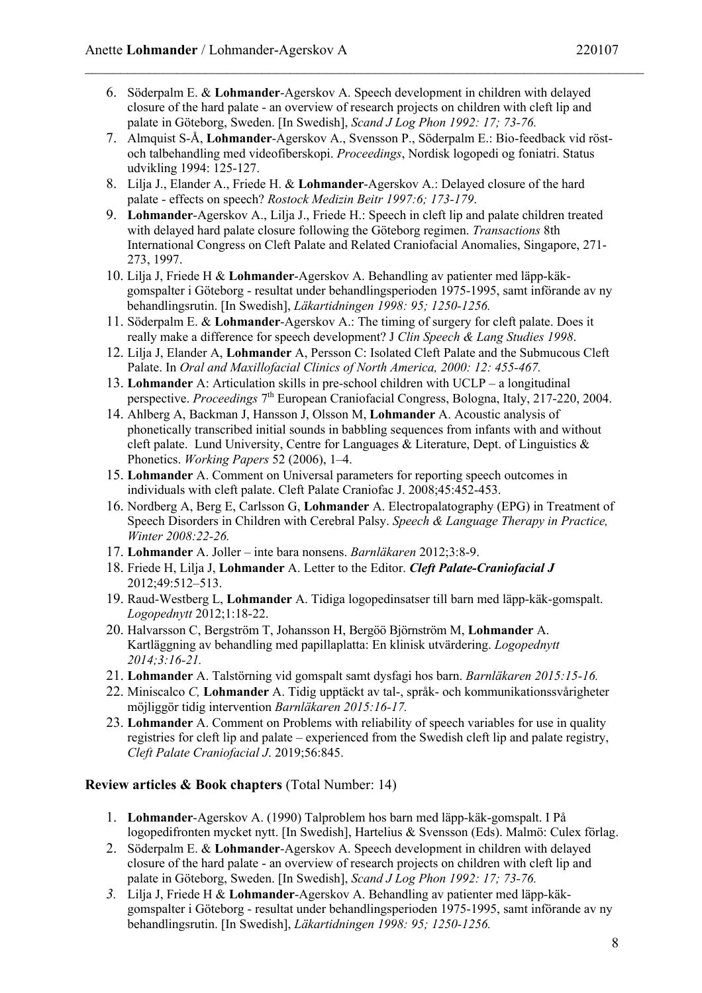- 6. Söderpalm E. & **Lohmander**-Agerskov A. Speech development in children with delayed closure of the hard palate - an overview of research projects on children with cleft lip and palate in Göteborg, Sweden. [In Swedish], *Scand J Log Phon 1992: 17; 73-76.*
- 7. Almquist S-Å, **Lohmander**-Agerskov A., Svensson P., Söderpalm E.: Bio-feedback vid röstoch talbehandling med videofiberskopi. *Proceedings*, Nordisk logopedi og foniatri. Status udvikling 1994: 125-127.
- 8. Lilja J., Elander A., Friede H. & **Lohmander**-Agerskov A.: Delayed closure of the hard palate - effects on speech? *Rostock Medizin Beitr 1997:6; 173-179*.
- 9. **Lohmander**-Agerskov A., Lilja J., Friede H.: Speech in cleft lip and palate children treated with delayed hard palate closure following the Göteborg regimen. *Transactions* 8th International Congress on Cleft Palate and Related Craniofacial Anomalies, Singapore, 271- 273, 1997.
- 10. Lilja J, Friede H & **Lohmander**-Agerskov A. Behandling av patienter med läpp-käkgomspalter i Göteborg - resultat under behandlingsperioden 1975-1995, samt införande av ny behandlingsrutin. [In Swedish], *Läkartidningen 1998: 95; 1250-1256.*
- 11. Söderpalm E. & **Lohmander**-Agerskov A.: The timing of surgery for cleft palate. Does it really make a difference for speech development? J *Clin Speech & Lang Studies 1998*.
- 12. Lilja J, Elander A, **Lohmander** A, Persson C: Isolated Cleft Palate and the Submucous Cleft Palate. In *Oral and Maxillofacial Clinics of North America, 2000: 12: 455-467.*
- 13. **Lohmander** A: Articulation skills in pre-school children with UCLP a longitudinal perspective. *Proceedings* 7th European Craniofacial Congress, Bologna, Italy, 217-220, 2004.
- 14. Ahlberg A, Backman J, Hansson J, Olsson M, **Lohmander** A. Acoustic analysis of phonetically transcribed initial sounds in babbling sequences from infants with and without cleft palate. Lund University, Centre for Languages & Literature, Dept. of Linguistics & Phonetics. *Working Papers* 52 (2006), 1–4.
- 15. **Lohmander** A. Comment on Universal parameters for reporting speech outcomes in individuals with cleft palate. Cleft Palate Craniofac J. 2008;45:452-453.
- 16. Nordberg A, Berg E, Carlsson G, **Lohmander** A. Electropalatography (EPG) in Treatment of Speech Disorders in Children with Cerebral Palsy. *Speech & Language Therapy in Practice, Winter 2008:22-26.*
- 17. **Lohmander** A. Joller inte bara nonsens. *Barnläkaren* 2012;3:8-9.
- 18. Friede H, Lilja J, **Lohmander** A. Letter to the Editor. *Cleft Palate-Craniofacial J*  2012;49:512–513.
- 19. Raud-Westberg L, **Lohmander** A. Tidiga logopedinsatser till barn med läpp-käk-gomspalt. *Logopednytt* 2012;1:18-22.
- 20. Halvarsson C, Bergström T, Johansson H, Bergöö Björnström M, **Lohmander** A. Kartläggning av behandling med papillaplatta: En klinisk utvärdering. *Logopednytt 2014;3:16-21.*
- 21. **Lohmander** A. Talstörning vid gomspalt samt dysfagi hos barn. *Barnläkaren 2015:15-16.*
- 22. Miniscalco *C,* **Lohmander** A. Tidig upptäckt av tal-, språk- och kommunikationssvårigheter möjliggör tidig intervention *Barnläkaren 2015:16-17.*
- 23. **Lohmander** A. Comment on Problems with reliability of speech variables for use in quality registries for cleft lip and palate – experienced from the Swedish cleft lip and palate registry, *Cleft Palate Craniofacial J*. 2019;56:845.

## **Review articles & Book chapters** (Total Number: 14)

- 1. **Lohmander**-Agerskov A. (1990) Talproblem hos barn med läpp-käk-gomspalt. I På logopedifronten mycket nytt. [In Swedish], Hartelius & Svensson (Eds). Malmö: Culex förlag.
- 2. Söderpalm E. & **Lohmander**-Agerskov A. Speech development in children with delayed closure of the hard palate - an overview of research projects on children with cleft lip and palate in Göteborg, Sweden. [In Swedish], *Scand J Log Phon 1992: 17; 73-76.*
- *3.* Lilja J, Friede H & **Lohmander**-Agerskov A. Behandling av patienter med läpp-käkgomspalter i Göteborg - resultat under behandlingsperioden 1975-1995, samt införande av ny behandlingsrutin. [In Swedish], *Läkartidningen 1998: 95; 1250-1256.*